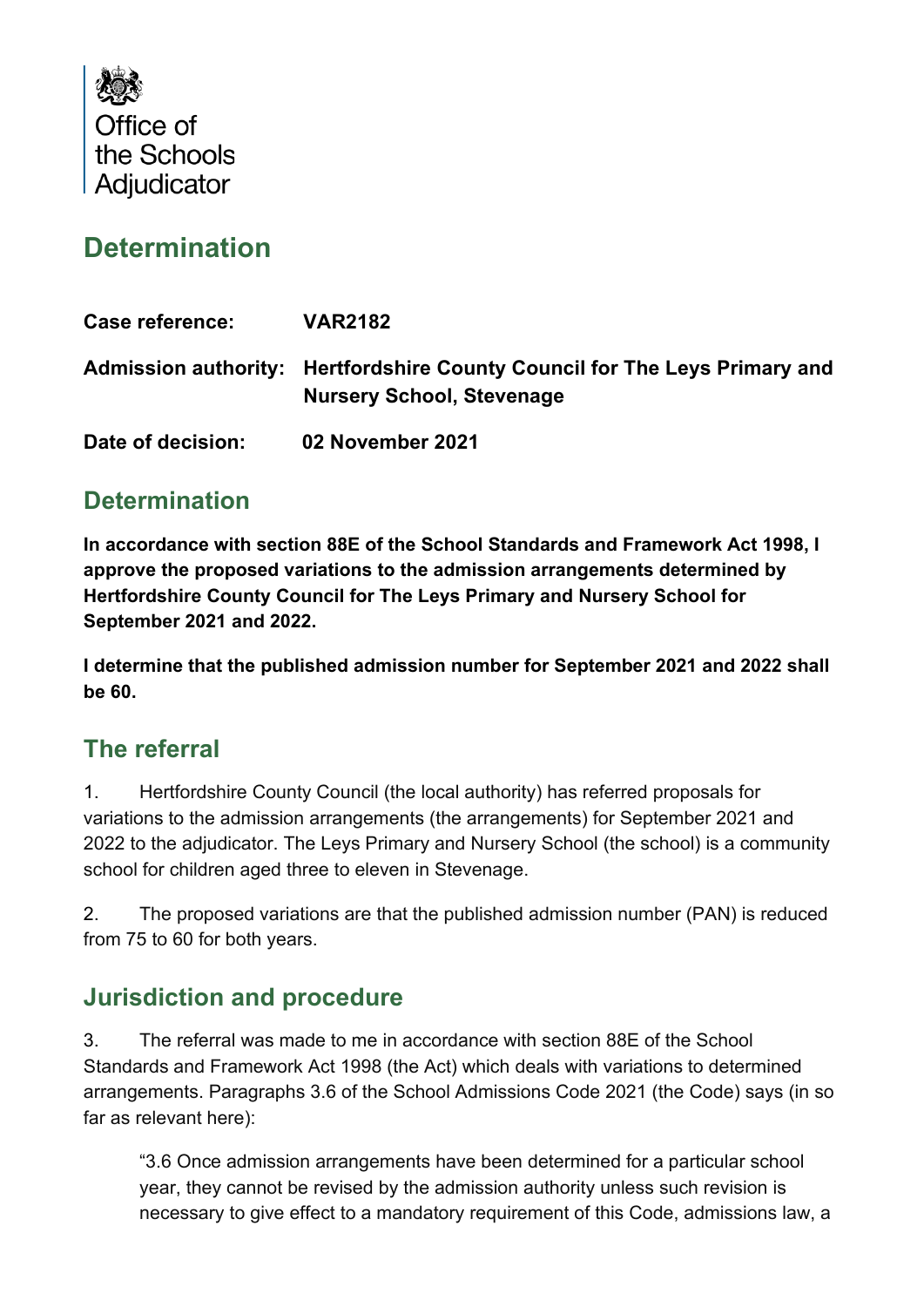

# **Determination**

| <b>Case reference:</b> | <b>VAR2182</b>                                                                                                 |
|------------------------|----------------------------------------------------------------------------------------------------------------|
|                        | Admission authority: Hertfordshire County Council for The Leys Primary and<br><b>Nursery School, Stevenage</b> |
| Date of decision:      | 02 November 2021                                                                                               |

### **Determination**

**In accordance with section 88E of the School Standards and Framework Act 1998, I approve the proposed variations to the admission arrangements determined by Hertfordshire County Council for The Leys Primary and Nursery School for September 2021 and 2022.**

**I determine that the published admission number for September 2021 and 2022 shall be 60.**

#### **The referral**

1. Hertfordshire County Council (the local authority) has referred proposals for variations to the admission arrangements (the arrangements) for September 2021 and 2022 to the adjudicator. The Leys Primary and Nursery School (the school) is a community school for children aged three to eleven in Stevenage.

2. The proposed variations are that the published admission number (PAN) is reduced from 75 to 60 for both years.

### **Jurisdiction and procedure**

3. The referral was made to me in accordance with section 88E of the School Standards and Framework Act 1998 (the Act) which deals with variations to determined arrangements. Paragraphs 3.6 of the School Admissions Code 2021 (the Code) says (in so far as relevant here):

"3.6 Once admission arrangements have been determined for a particular school year, they cannot be revised by the admission authority unless such revision is necessary to give effect to a mandatory requirement of this Code, admissions law, a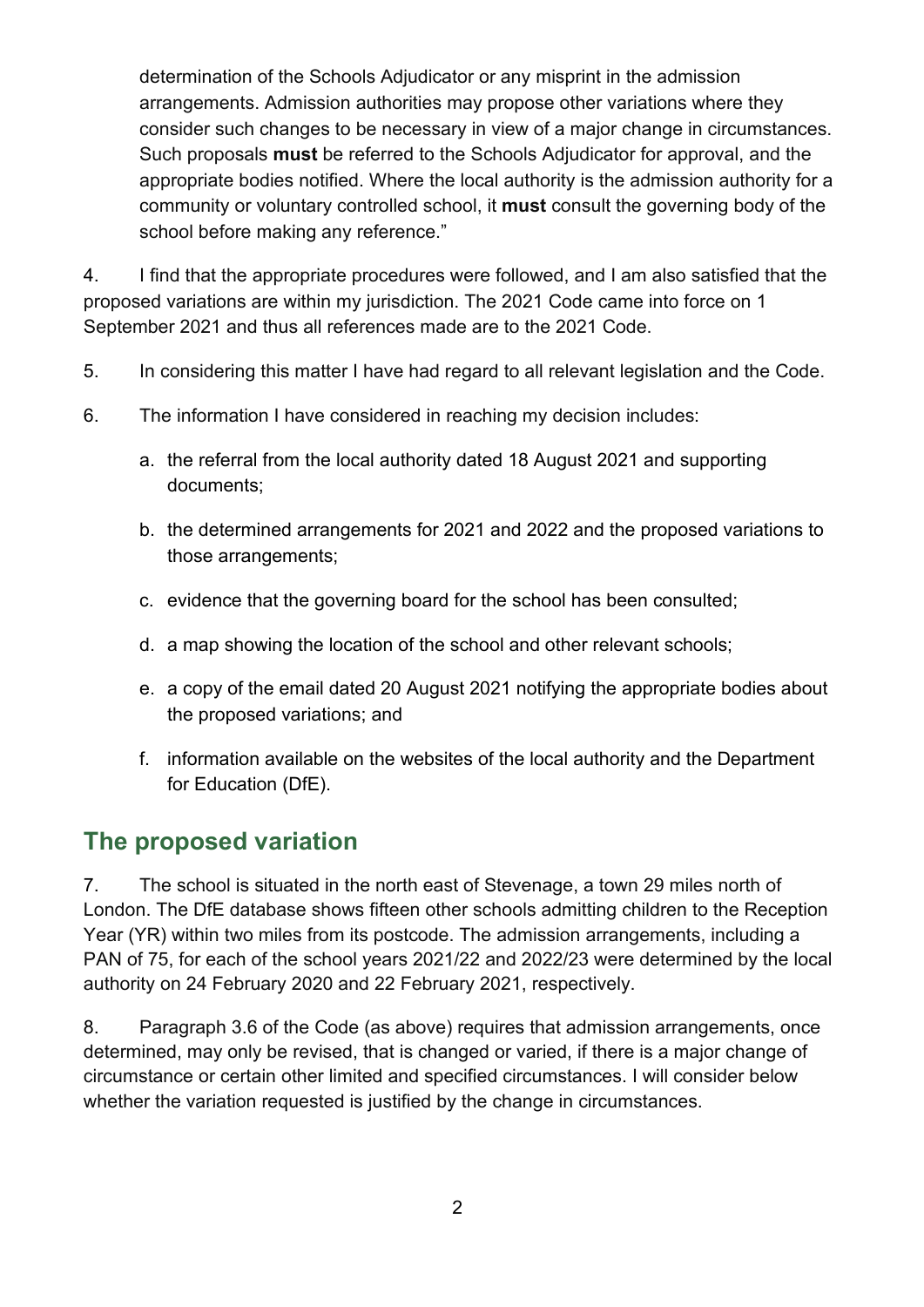determination of the Schools Adjudicator or any misprint in the admission arrangements. Admission authorities may propose other variations where they consider such changes to be necessary in view of a major change in circumstances. Such proposals **must** be referred to the Schools Adjudicator for approval, and the appropriate bodies notified. Where the local authority is the admission authority for a community or voluntary controlled school, it **must** consult the governing body of the school before making any reference."

4. I find that the appropriate procedures were followed, and I am also satisfied that the proposed variations are within my jurisdiction. The 2021 Code came into force on 1 September 2021 and thus all references made are to the 2021 Code.

- 5. In considering this matter I have had regard to all relevant legislation and the Code.
- 6. The information I have considered in reaching my decision includes:
	- a. the referral from the local authority dated 18 August 2021 and supporting documents;
	- b. the determined arrangements for 2021 and 2022 and the proposed variations to those arrangements;
	- c. evidence that the governing board for the school has been consulted;
	- d. a map showing the location of the school and other relevant schools;
	- e. a copy of the email dated 20 August 2021 notifying the appropriate bodies about the proposed variations; and
	- f. information available on the websites of the local authority and the Department for Education (DfE).

### **The proposed variation**

7. The school is situated in the north east of Stevenage, a town 29 miles north of London. The DfE database shows fifteen other schools admitting children to the Reception Year (YR) within two miles from its postcode. The admission arrangements, including a PAN of 75, for each of the school years 2021/22 and 2022/23 were determined by the local authority on 24 February 2020 and 22 February 2021, respectively.

8. Paragraph 3.6 of the Code (as above) requires that admission arrangements, once determined, may only be revised, that is changed or varied, if there is a major change of circumstance or certain other limited and specified circumstances. I will consider below whether the variation requested is justified by the change in circumstances.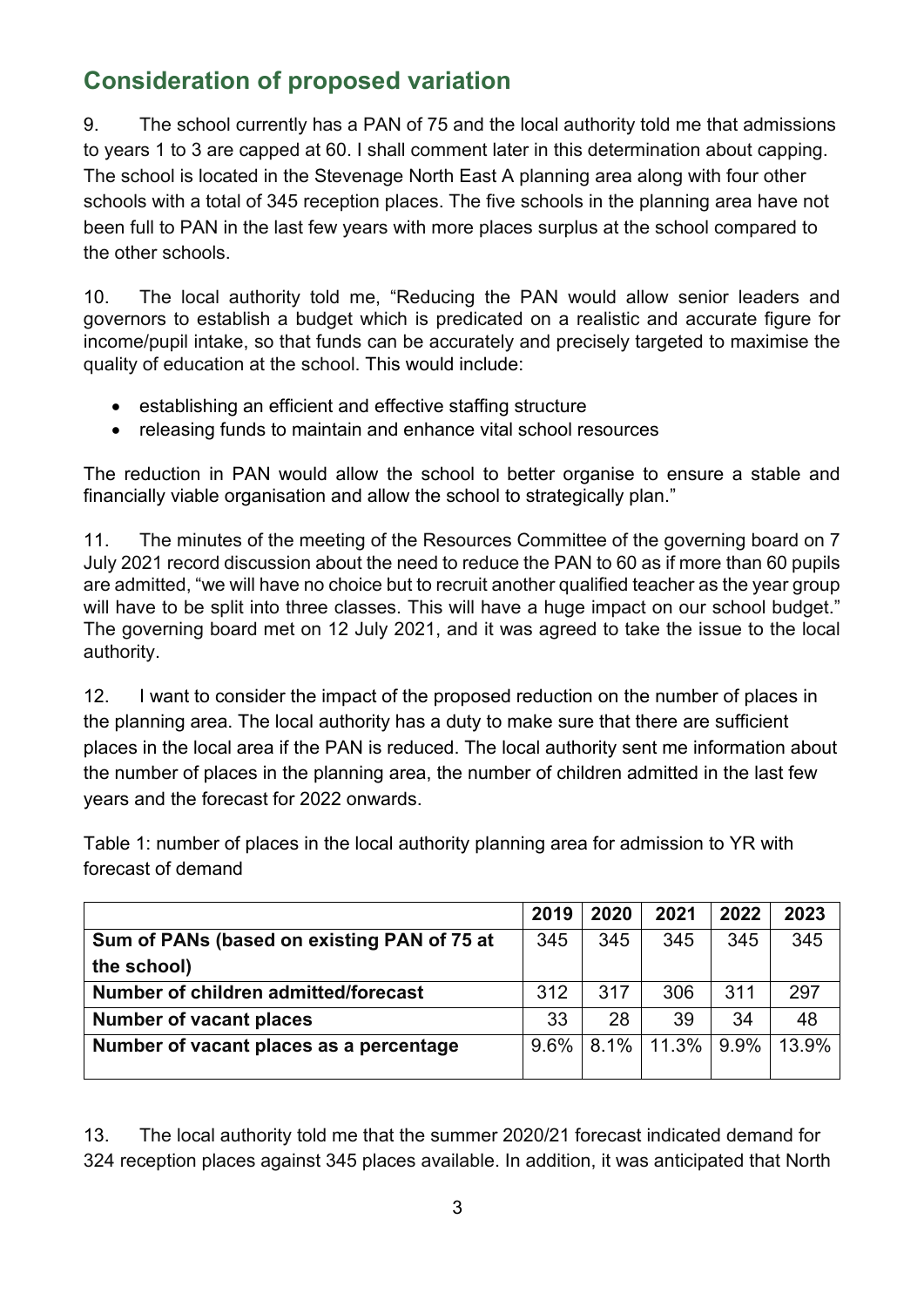# **Consideration of proposed variation**

9. The school currently has a PAN of 75 and the local authority told me that admissions to years 1 to 3 are capped at 60. I shall comment later in this determination about capping. The school is located in the Stevenage North East A planning area along with four other schools with a total of 345 reception places. The five schools in the planning area have not been full to PAN in the last few years with more places surplus at the school compared to the other schools.

10. The local authority told me, "Reducing the PAN would allow senior leaders and governors to establish a budget which is predicated on a realistic and accurate figure for income/pupil intake, so that funds can be accurately and precisely targeted to maximise the quality of education at the school. This would include:

- establishing an efficient and effective staffing structure
- releasing funds to maintain and enhance vital school resources

The reduction in PAN would allow the school to better organise to ensure a stable and financially viable organisation and allow the school to strategically plan."

11. The minutes of the meeting of the Resources Committee of the governing board on 7 July 2021 record discussion about the need to reduce the PAN to 60 as if more than 60 pupils are admitted, "we will have no choice but to recruit another qualified teacher as the year group will have to be split into three classes. This will have a huge impact on our school budget." The governing board met on 12 July 2021, and it was agreed to take the issue to the local authority.

12. I want to consider the impact of the proposed reduction on the number of places in the planning area. The local authority has a duty to make sure that there are sufficient places in the local area if the PAN is reduced. The local authority sent me information about the number of places in the planning area, the number of children admitted in the last few years and the forecast for 2022 onwards.

Table 1: number of places in the local authority planning area for admission to YR with forecast of demand

|                                             | 2019    | 2020 | 2021          | 2022 | 2023  |
|---------------------------------------------|---------|------|---------------|------|-------|
| Sum of PANs (based on existing PAN of 75 at | 345     | 345  | 345           | 345  | 345   |
| the school)                                 |         |      |               |      |       |
| Number of children admitted/forecast        | 312     | 317  | 306           | 311  | 297   |
| <b>Number of vacant places</b>              | 33      | 28   | 39            | 34   | 48    |
| Number of vacant places as a percentage     | $9.6\%$ |      | $8.1\%$ 11.3% | 9.9% | 13.9% |
|                                             |         |      |               |      |       |

13. The local authority told me that the summer 2020/21 forecast indicated demand for 324 reception places against 345 places available. In addition, it was anticipated that North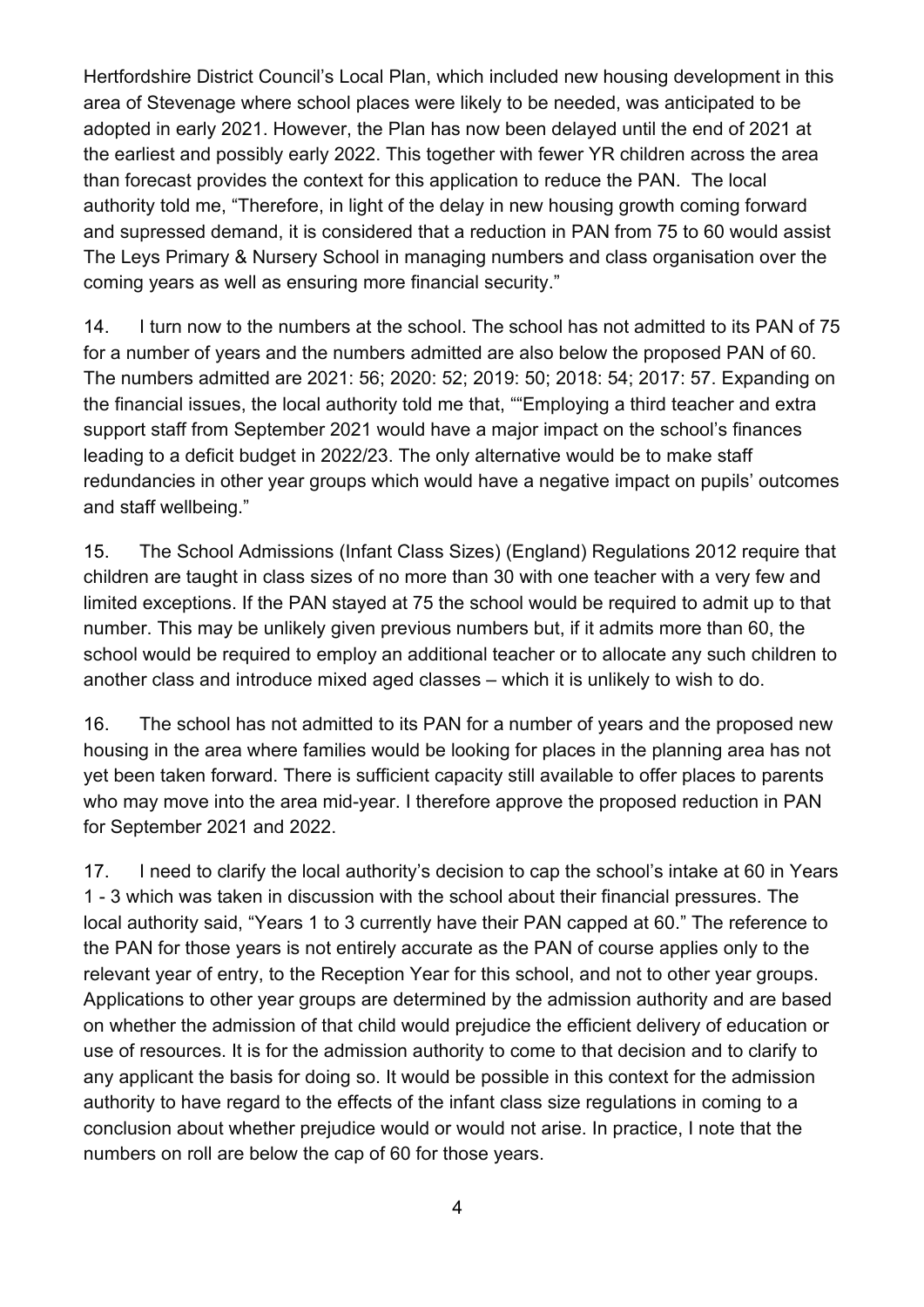Hertfordshire District Council's Local Plan, which included new housing development in this area of Stevenage where school places were likely to be needed, was anticipated to be adopted in early 2021. However, the Plan has now been delayed until the end of 2021 at the earliest and possibly early 2022. This together with fewer YR children across the area than forecast provides the context for this application to reduce the PAN. The local authority told me, "Therefore, in light of the delay in new housing growth coming forward and supressed demand, it is considered that a reduction in PAN from 75 to 60 would assist The Leys Primary & Nursery School in managing numbers and class organisation over the coming years as well as ensuring more financial security."

14. I turn now to the numbers at the school. The school has not admitted to its PAN of 75 for a number of years and the numbers admitted are also below the proposed PAN of 60. The numbers admitted are 2021: 56; 2020: 52; 2019: 50; 2018: 54; 2017: 57. Expanding on the financial issues, the local authority told me that, ""Employing a third teacher and extra support staff from September 2021 would have a major impact on the school's finances leading to a deficit budget in 2022/23. The only alternative would be to make staff redundancies in other year groups which would have a negative impact on pupils' outcomes and staff wellbeing."

15. The School Admissions (Infant Class Sizes) (England) Regulations 2012 require that children are taught in class sizes of no more than 30 with one teacher with a very few and limited exceptions. If the PAN stayed at 75 the school would be required to admit up to that number. This may be unlikely given previous numbers but, if it admits more than 60, the school would be required to employ an additional teacher or to allocate any such children to another class and introduce mixed aged classes – which it is unlikely to wish to do.

16. The school has not admitted to its PAN for a number of years and the proposed new housing in the area where families would be looking for places in the planning area has not yet been taken forward. There is sufficient capacity still available to offer places to parents who may move into the area mid-year. I therefore approve the proposed reduction in PAN for September 2021 and 2022.

17. I need to clarify the local authority's decision to cap the school's intake at 60 in Years 1 - 3 which was taken in discussion with the school about their financial pressures. The local authority said, "Years 1 to 3 currently have their PAN capped at 60." The reference to the PAN for those years is not entirely accurate as the PAN of course applies only to the relevant year of entry, to the Reception Year for this school, and not to other year groups. Applications to other year groups are determined by the admission authority and are based on whether the admission of that child would prejudice the efficient delivery of education or use of resources. It is for the admission authority to come to that decision and to clarify to any applicant the basis for doing so. It would be possible in this context for the admission authority to have regard to the effects of the infant class size regulations in coming to a conclusion about whether prejudice would or would not arise. In practice, I note that the numbers on roll are below the cap of 60 for those years.